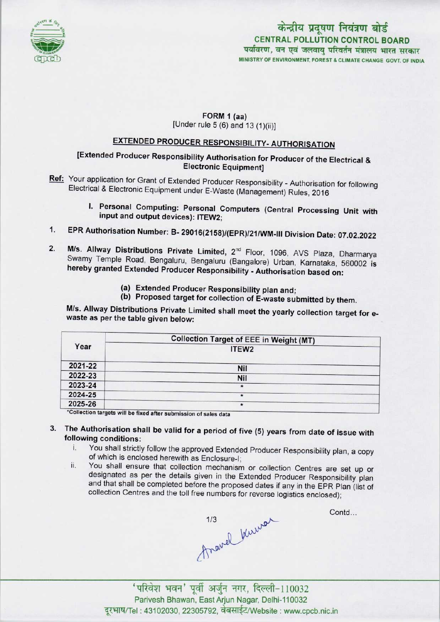

# केन्द्रीय प्रदूषण नियंत्रण बोर्ड CENTRAL POLLUTION CONTROL BOARD<br>पर्यावरण, वन एवं जलवायु परिवर्तन मंत्रालय भारत सरकार MINISTRY OF ENVIRONMENT, FOREST & CLIMATE CHANGE GOVT. OF INDIA

### FORM 1 (aa) [Under rule  $5(6)$  and  $13(1)(ii)$ ]

# EXTENDED PRODUCER RESPONSIBILITY- AUTHORISATION

## [Extended Producer Responsibility Authorisation for Producer of the Electrical & Electronic Equipment]

- Ref: Your application for Grant of Extended Producer Responsibility Authorisation for following Electrical & Electronic Equipment under E-Waste (Management) Rules, 2016
	- I. Personal Computing: Personal Computers (Central Processing Unit with input and output devices): ITEW2;
- 1.EPR Authorisation Number: B- 29016(2158)/(EPR)/21/WM-lll Division Date: 07.02.2022
- 2. M/s. Allway Distributions Private Limited, 2<sup>nd</sup> Floor, 1096, AVS Plaza, Dharmarya Swamy Temple Road, Bengaluru, Bengaluru (Bangalore) Urban, Karnataka, 560002 is hereby granted Extended Producer Responsibility - Authorisation based on:
	- (a)Extended Producer Responsibility plan and;
	- (b) Proposed target for collection of E-waste submitted by them.

M/s. Allway Distributions Private Limited shall meet the yearly collection target for ewaste as per the table given below:

| Year    | <b>Collection Target of EEE in Weight (MT)</b> |
|---------|------------------------------------------------|
|         | ITEW <sub>2</sub>                              |
| 2021-22 | Nil                                            |
| 2022-23 | <b>Nil</b>                                     |
| 2023-24 | $\star$                                        |
| 2024-25 | *                                              |
| 2025-26 | $\star$                                        |

s will be fixed after submission of sales data

- 3. The Authorisation shall be valid for a period of five (5) years from date of issue with following conditions:
	- i. You shall strictly follow the approved Extended Producer Responsibility plan, <sup>a</sup> copy of which is enclosed herewith as Enclosure-!;
	- ii. You shall ensure that collection mechanism or collection Centres are set up or designated as per the details given in the Extended Producer Responsibility plan and that shall be completed before the proposed dates if any in the EPR Plan (list of collection Centres and the toll free numbers for reverse logistics enclosed);

 $A$ ravel Kuy  $\sim$ 

Contd...

Parivesh Bhawan, East Arjun Nagar, Delhi-110032 दूरभाष/Tel: 43102030, 22305792, वेबसाईट/Website : www.cpcb.nic.in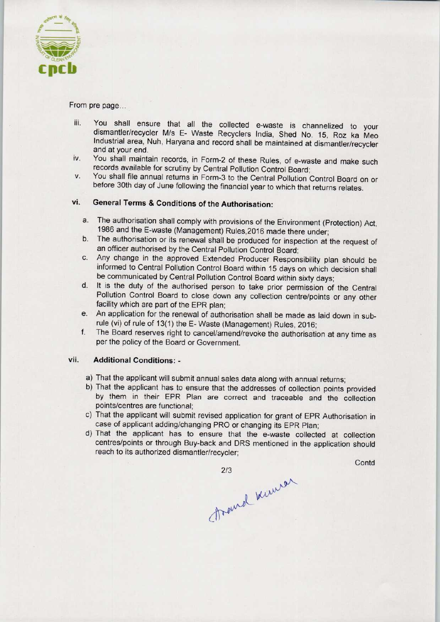

### From pre page...

- iii. You shall ensure that all the collected e-waste is channelized to your dismantler/recycler M/s E- Waste Recyclers India, Shed No. 15, Roz ka Meo Industrial area, Nuh, Haryana and record shall be maintained at dismantler/recycler and at your end.
- iv. You shall maintain records, in Form-2 of these Rules, of e-waste and make such records available for scrutiny by Central Pollution Control Board;
- v. You shall file annual returns in Form-3 to the Central Pollution Control Board on or before 30th day of June following the financial year to which that returns relates.

## vi. General Terms & Conditions of the Authorisation:

- a. The authorisation shall comply with provisions of the Environment (Protection) Act, 1986 and the E-waste (Management) Rules,2016 made there under;
- b.The authorisation or its renewal shall be produced for inspection at the request of an officer authorised by the Central Pollution Control Board;
- c.Any change in the approved Extended Producer Responsibility plan should be informed to Central Pollution Control Board within 15 days on which decision shall be communicated by Central Pollution Control Board within sixty days;
- d. It is the duty of the authorised person to take prior permission of the Central Pollution Control Board to close down any collection centre/points or any other facility which are part of the EPR plan:
- e. An application for the renewal of authorisation shall be made as laid down in subrule (vi) of rule of 13(1) the E- Waste (Management) Rules, 2016;
- f. The Board reserves right to cancel/amend/revoke the authorisation at any time as per the policy of the Board or Government.

#### vii. Additional Conditions: -

- a)That the applicant will submit annual sales data along with annual returns;
- b) That the applicant has to ensure that the addresses of collection points provided by them in their EPR Plan are correct and traceable and the collection points/centres are functional;
- c) That the applicant will submit revised application for grant of EPR Authorisation in case of applicant adding/changing PRO or changing its EPR Plan;
- d)That the applicant has to ensure that the e-waste collected at collection centres/points or through Buy-back and DRS mentioned in the application should reach to its authorized dismantler/recycler;

**Contd** 

2/3<br>Dramal Kuman